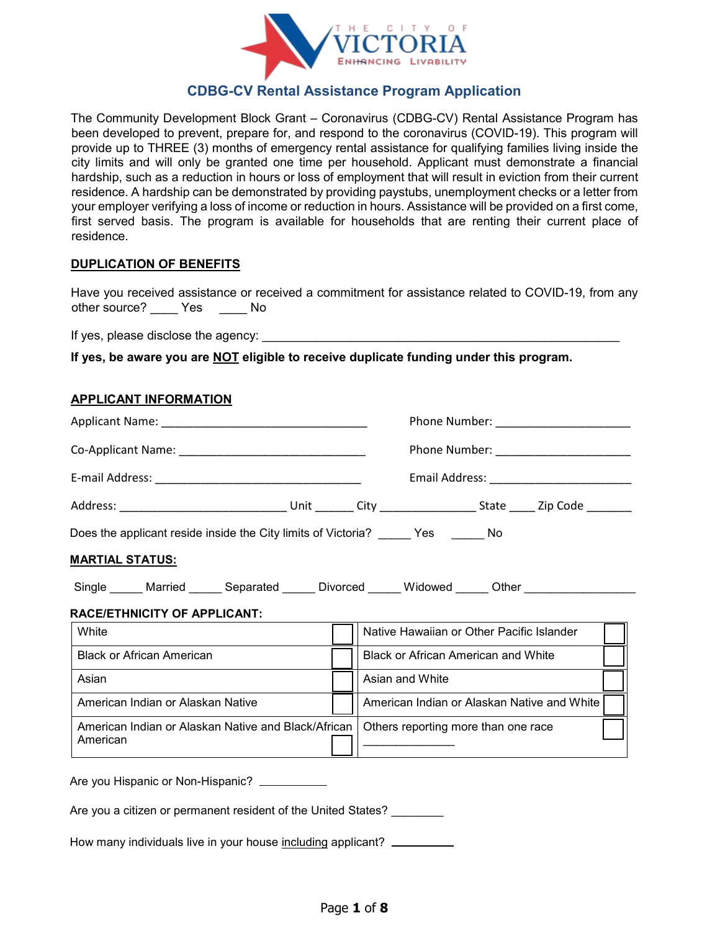

## **CDBG-CV Rental Assistance Program Application**

The Community Development Block Grant – Coronavirus (CDBG-CV) Rental Assistance Program has been developed to prevent, prepare for, and respond to the coronavirus (COVID-19). This program will provide up to THREE (3) months of emergency rental assistance for qualifying families living inside the city limits and will only be granted one time per household. Applicant must demonstrate a financial hardship, such as a reduction in hours or loss of employment that will result in eviction from their current residence. A hardship can be demonstrated by providing paystubs, unemployment checks or a letter from your employer verifying a loss of income or reduction in hours. Assistance will be provided on a first come, first served basis. The program is available for households that are renting their current place of residence.

#### **DUPLICATION OF BENEFITS**

Have you received assistance or received a commitment for assistance related to COVID-19, from any other source? \_\_\_\_\_ Yes \_\_\_\_\_ No

If yes, please disclose the agency:

**If yes, be aware you are NOT eligible to receive duplicate funding under this program.**

#### **APPLICANT INFORMATION**

|                                                                                          | Phone Number: _________________________ |                                             |
|------------------------------------------------------------------------------------------|-----------------------------------------|---------------------------------------------|
|                                                                                          | Phone Number: ________________________  |                                             |
|                                                                                          |                                         |                                             |
|                                                                                          |                                         |                                             |
| Does the applicant reside inside the City limits of Victoria? _____ Yes ______ No        |                                         |                                             |
| <u> MARTIAL STATUS:</u>                                                                  |                                         |                                             |
| Single _____ Married ______ Separated ______ Divorced _____ Widowed _____ Other ________ |                                         |                                             |
| <b>RACE/ETHNICITY OF APPLICANT:</b>                                                      |                                         |                                             |
| White                                                                                    |                                         | Native Hawaiian or Other Pacific Islander   |
| <b>Black or African American</b>                                                         |                                         | <b>Black or African American and White</b>  |
| Asian                                                                                    |                                         | Asian and White                             |
| American Indian or Alaskan Native                                                        |                                         | American Indian or Alaskan Native and White |
| American Indian or Alaskan Native and Black/African<br>American                          |                                         | Others reporting more than one race         |
|                                                                                          |                                         |                                             |
| Are you Hispanic or Non-Hispanic? ___________                                            |                                         |                                             |
| Are you a citizen or permanent resident of the United States?                            |                                         |                                             |

How many individuals live in your house including applicant?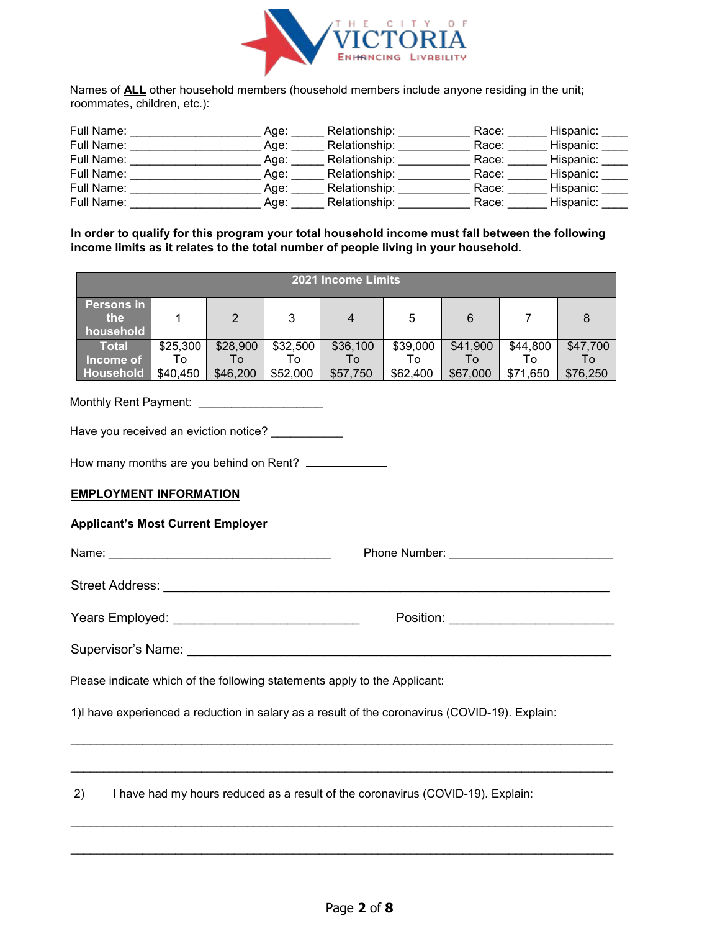

Names of **ALL** other household members (household members include anyone residing in the unit; roommates, children, etc.):

| Full Name: | Aqe: | Relationship: | Race: | Hispanic: |
|------------|------|---------------|-------|-----------|
| Full Name: | Age: | Relationship: | Race: | Hispanic: |
| Full Name: | Age: | Relationship: | Race: | Hispanic: |
| Full Name: | Age: | Relationship: | Race: | Hispanic: |
| Full Name: | Aqe: | Relationship: | Race: | Hispanic: |
| Full Name: | Age: | Relationship: | Race: | Hispanic: |

**In order to qualify for this program your total household income must fall between the following income limits as it relates to the total number of people living in your household.** 

| 2021 Income Limits                    |                |                |                |                |                |                |                |                |
|---------------------------------------|----------------|----------------|----------------|----------------|----------------|----------------|----------------|----------------|
| <b>Persons in</b><br>the<br>household |                | 2              | 3              | 4              | 5              | 6              |                | 8              |
| <b>Total</b><br>Income of             | \$25,300<br>То | \$28,900<br>Τo | \$32,500<br>Т٥ | \$36,100<br>To | \$39,000<br>To | \$41,900<br>Т٥ | \$44,800<br>Т٥ | \$47,700<br>Т٥ |
| Household                             | \$40,450       | \$46,200       | \$52,000       | \$57,750       | \$62,400       | \$67,000       | \$71,650       | \$76,250       |

Monthly Rent Payment: \_\_\_\_\_\_\_\_\_\_\_\_\_\_\_\_\_\_\_\_\_

Have you received an eviction notice?

How many months are you behind on Rent?

#### **EMPLOYMENT INFORMATION**

#### **Applicant's Most Current Employer**

Name: \_\_\_\_\_\_\_\_\_\_\_\_\_\_\_\_\_\_\_\_\_\_\_\_\_\_\_\_\_\_\_\_\_\_ Phone Number: \_\_\_\_\_\_\_\_\_\_\_\_\_\_\_\_\_\_\_\_\_\_\_\_\_ Street Address: \_\_\_\_\_\_\_\_\_\_\_\_\_\_\_\_\_\_\_\_\_\_\_\_\_\_\_\_\_\_\_\_\_\_\_\_\_\_\_\_\_\_\_\_\_\_\_\_\_\_\_\_\_\_\_\_\_\_\_\_\_\_ Years Employed: \_\_\_\_\_\_\_\_\_\_\_\_\_\_\_\_\_\_\_\_\_\_\_\_\_\_ Position: \_\_\_\_\_\_\_\_\_\_\_\_\_\_\_\_\_\_\_\_\_\_\_ Supervisor's Name: \_\_\_\_\_\_\_\_\_\_\_\_\_\_\_\_\_\_\_\_\_\_\_\_\_\_\_\_\_\_\_\_\_\_\_\_\_\_\_\_\_\_\_\_\_\_\_\_\_\_\_\_\_\_\_\_\_\_\_ Please indicate which of the following statements apply to the Applicant: 1)I have experienced a reduction in salary as a result of the coronavirus (COVID-19). Explain:

\_\_\_\_\_\_\_\_\_\_\_\_\_\_\_\_\_\_\_\_\_\_\_\_\_\_\_\_\_\_\_\_\_\_\_\_\_\_\_\_\_\_\_\_\_\_\_\_\_\_\_\_\_\_\_\_\_\_\_\_\_\_\_\_\_\_\_\_\_\_\_\_\_\_\_\_\_\_\_\_\_\_\_

\_\_\_\_\_\_\_\_\_\_\_\_\_\_\_\_\_\_\_\_\_\_\_\_\_\_\_\_\_\_\_\_\_\_\_\_\_\_\_\_\_\_\_\_\_\_\_\_\_\_\_\_\_\_\_\_\_\_\_\_\_\_\_\_\_\_\_\_\_\_\_\_\_\_\_\_\_\_\_\_\_\_\_

\_\_\_\_\_\_\_\_\_\_\_\_\_\_\_\_\_\_\_\_\_\_\_\_\_\_\_\_\_\_\_\_\_\_\_\_\_\_\_\_\_\_\_\_\_\_\_\_\_\_\_\_\_\_\_\_\_\_\_\_\_\_\_\_\_\_\_\_\_\_\_\_\_\_\_\_\_\_\_\_\_\_\_

\_\_\_\_\_\_\_\_\_\_\_\_\_\_\_\_\_\_\_\_\_\_\_\_\_\_\_\_\_\_\_\_\_\_\_\_\_\_\_\_\_\_\_\_\_\_\_\_\_\_\_\_\_\_\_\_\_\_\_\_\_\_\_\_\_\_\_\_\_\_\_\_\_\_\_\_\_\_\_\_\_\_\_

2) I have had my hours reduced as a result of the coronavirus (COVID-19). Explain: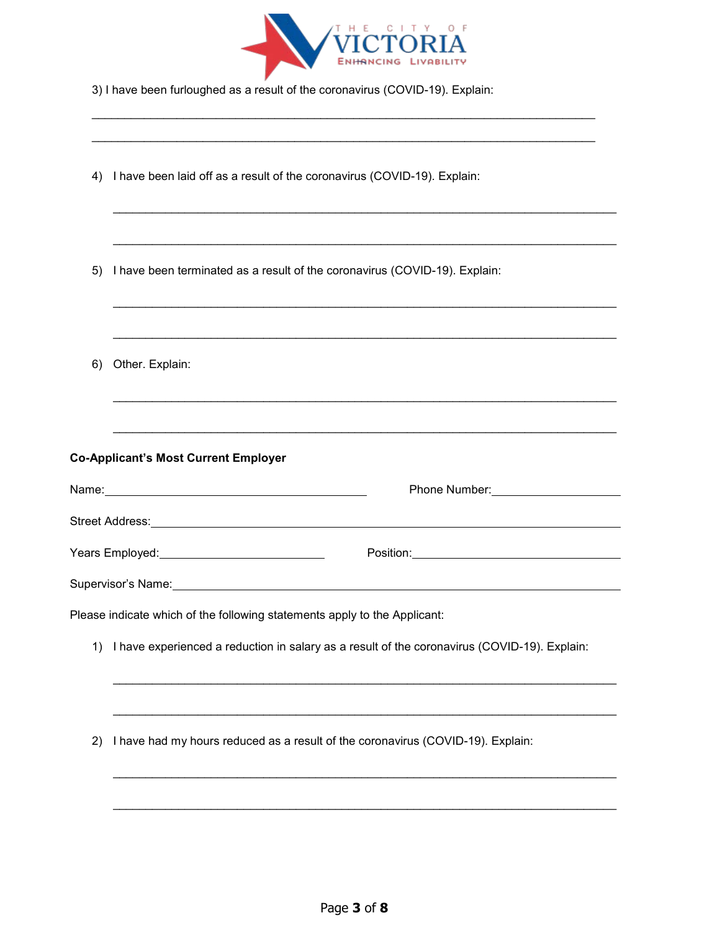

\_\_\_\_\_\_\_\_\_\_\_\_\_\_\_\_\_\_\_\_\_\_\_\_\_\_\_\_\_\_\_\_\_\_\_\_\_\_\_\_\_\_\_\_\_\_\_\_\_\_\_\_\_\_\_\_\_\_\_\_\_\_\_\_\_\_\_\_\_\_\_\_\_\_\_\_\_

| 3) I have been furloughed as a result of the coronavirus (COVID-19). Explain: |  |
|-------------------------------------------------------------------------------|--|
|-------------------------------------------------------------------------------|--|

| 4) | I have been laid off as a result of the coronavirus (COVID-19). Explain:                        |
|----|-------------------------------------------------------------------------------------------------|
|    |                                                                                                 |
| 5) | I have been terminated as a result of the coronavirus (COVID-19). Explain:                      |
| 6) | Other. Explain:                                                                                 |
|    |                                                                                                 |
|    | <b>Co-Applicant's Most Current Employer</b>                                                     |
|    |                                                                                                 |
|    |                                                                                                 |
|    | Years Employed:____________________________                                                     |
|    |                                                                                                 |
|    |                                                                                                 |
|    | Please indicate which of the following statements apply to the Applicant:                       |
|    | 1) I have experienced a reduction in salary as a result of the coronavirus (COVID-19). Explain: |
|    |                                                                                                 |
| 2) | I have had my hours reduced as a result of the coronavirus (COVID-19). Explain:                 |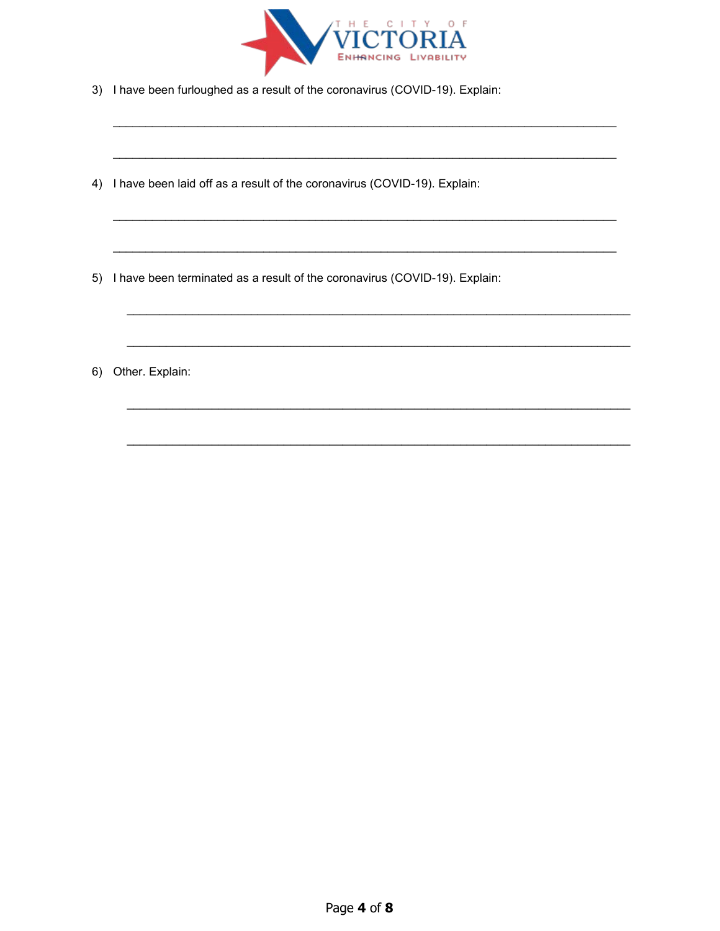

- 3) I have been furloughed as a result of the coronavirus (COVID-19). Explain:
- 4) I have been laid off as a result of the coronavirus (COVID-19). Explain:
- 5) I have been terminated as a result of the coronavirus (COVID-19). Explain:
- 6) Other. Explain: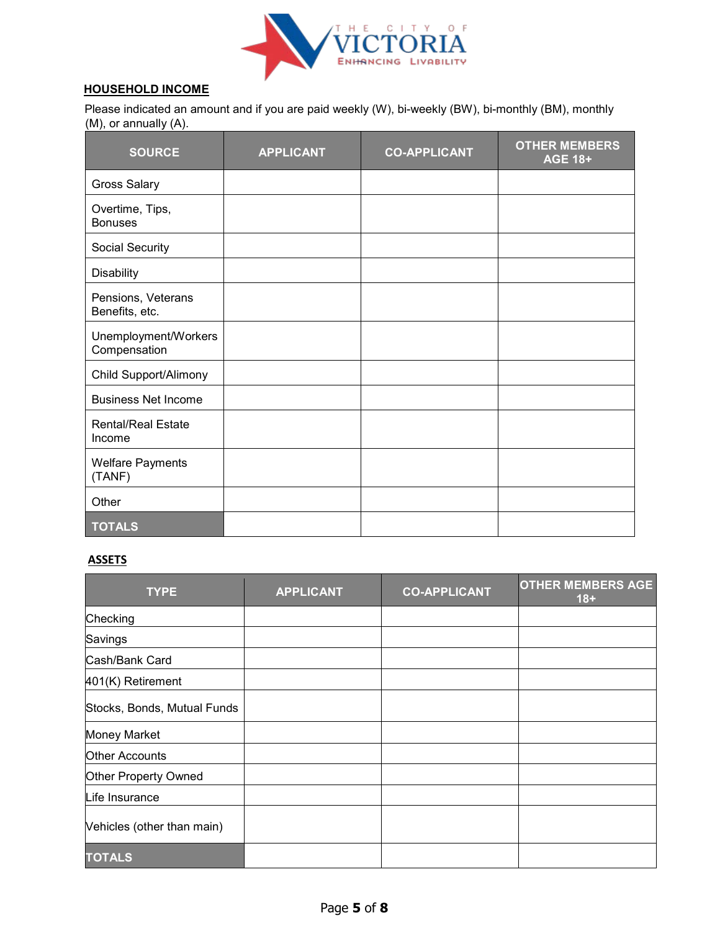

## **HOUSEHOLD INCOME**

Please indicated an amount and if you are paid weekly (W), bi-weekly (BW), bi-monthly (BM), monthly (M), or annually (A).

| <b>SOURCE</b>                        | <b>APPLICANT</b> | <b>CO-APPLICANT</b> | <b>OTHER MEMBERS</b><br><b>AGE 18+</b> |
|--------------------------------------|------------------|---------------------|----------------------------------------|
| <b>Gross Salary</b>                  |                  |                     |                                        |
| Overtime, Tips,<br><b>Bonuses</b>    |                  |                     |                                        |
| Social Security                      |                  |                     |                                        |
| <b>Disability</b>                    |                  |                     |                                        |
| Pensions, Veterans<br>Benefits, etc. |                  |                     |                                        |
| Unemployment/Workers<br>Compensation |                  |                     |                                        |
| Child Support/Alimony                |                  |                     |                                        |
| <b>Business Net Income</b>           |                  |                     |                                        |
| <b>Rental/Real Estate</b><br>Income  |                  |                     |                                        |
| <b>Welfare Payments</b><br>(TANF)    |                  |                     |                                        |
| Other                                |                  |                     |                                        |
| <b>TOTALS</b>                        |                  |                     |                                        |

#### **ASSETS**

| <b>TYPE</b>                 | <b>APPLICANT</b> | <b>CO-APPLICANT</b> | <b>OTHER MEMBERS AGE</b><br>$18 +$ |
|-----------------------------|------------------|---------------------|------------------------------------|
| Checking                    |                  |                     |                                    |
| Savings                     |                  |                     |                                    |
| Cash/Bank Card              |                  |                     |                                    |
| 401(K) Retirement           |                  |                     |                                    |
| Stocks, Bonds, Mutual Funds |                  |                     |                                    |
| <b>Money Market</b>         |                  |                     |                                    |
| <b>Other Accounts</b>       |                  |                     |                                    |
| Other Property Owned        |                  |                     |                                    |
| Life Insurance              |                  |                     |                                    |
| Vehicles (other than main)  |                  |                     |                                    |
| <b>TOTALS</b>               |                  |                     |                                    |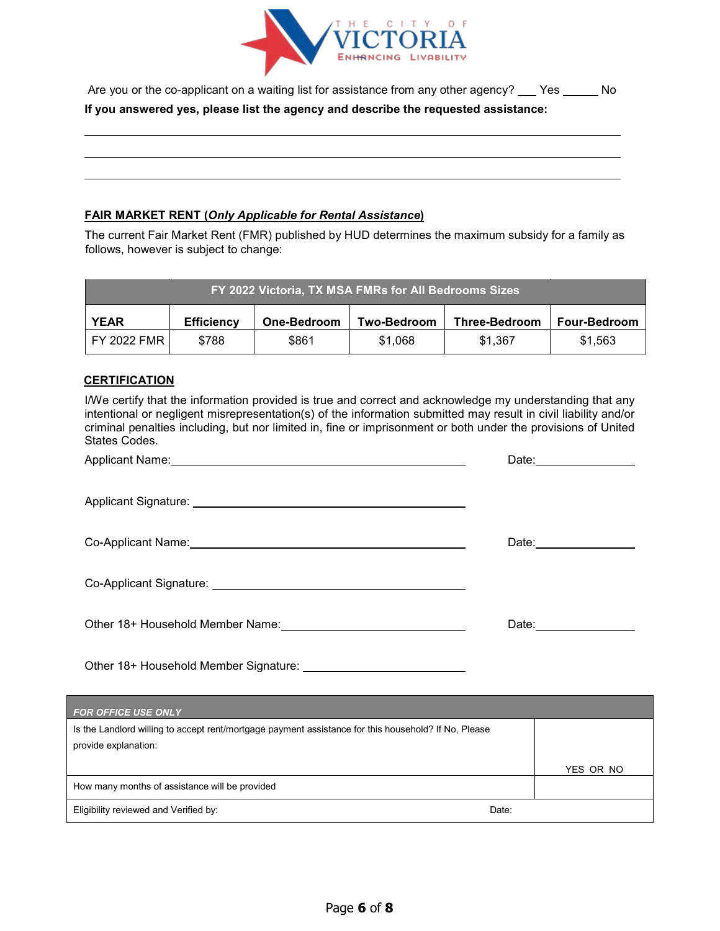

| Are you or the co-applicant on a waiting list for assistance from any other agency? ___ Yes __ | No. |
|------------------------------------------------------------------------------------------------|-----|
| If you answered yes, please list the agency and describe the requested assistance:             |     |

### **FAIR MARKET RENT (***Only Applicable for Rental Assistance***)**

The current Fair Market Rent (FMR) published by HUD determines the maximum subsidy for a family as follows, however is subject to change:

| FY 2022 Victoria, TX MSA FMRs for All Bedrooms Sizes                                                                 |       |       |         |         |         |
|----------------------------------------------------------------------------------------------------------------------|-------|-------|---------|---------|---------|
| <b>YEAR</b><br><b>Efficiency</b><br><b>Two-Bedroom</b><br><b>Three-Bedroom</b><br><b>Four-Bedroom</b><br>One-Bedroom |       |       |         |         |         |
| <b>FY 2022 FMR I</b>                                                                                                 | \$788 | \$861 | \$1.068 | \$1.367 | \$1.563 |

#### **CERTIFICATION**

| I/We certify that the information provided is true and correct and acknowledge my understanding that any<br>intentional or negligent misrepresentation(s) of the information submitted may result in civil liability and/or<br>criminal penalties including, but nor limited in, fine or imprisonment or both under the provisions of United<br>States Codes. |                          |
|---------------------------------------------------------------------------------------------------------------------------------------------------------------------------------------------------------------------------------------------------------------------------------------------------------------------------------------------------------------|--------------------------|
|                                                                                                                                                                                                                                                                                                                                                               | Date: __________________ |
|                                                                                                                                                                                                                                                                                                                                                               |                          |
| Co-Applicant Name: <u>compared the contract of the contract of the contract of the contract of the contract of the contract of the contract of the contract of the contract of the contract of the contract of the contract of t</u>                                                                                                                          | Date:_________________   |
| Co-Applicant Signature: Co-Applicant Signature:                                                                                                                                                                                                                                                                                                               |                          |
|                                                                                                                                                                                                                                                                                                                                                               | Date:_________________   |
|                                                                                                                                                                                                                                                                                                                                                               |                          |
| <b>FOR OFFICE USE ONLY CONTRACT CONTRACT CONTRACT ON A SECOND CONTRACT OF A SECOND CONTRACT OF A SECOND CONTRACT O</b>                                                                                                                                                                                                                                        |                          |
| Is the Landlord willing to accept rent/mortgage payment assistance for this household? If No, Please                                                                                                                                                                                                                                                          |                          |
| provide explanation:                                                                                                                                                                                                                                                                                                                                          |                          |
|                                                                                                                                                                                                                                                                                                                                                               | YES OR NO                |
| How many months of assistance will be provided                                                                                                                                                                                                                                                                                                                |                          |

Eligibility reviewed and Verified by: Date: Date: Date: Date: Date: Date: Date: Date: Date: Date: Date: Date: Date: Date: Date: Date: Date: Date: Date: Date: Date: Date: Date: Date: Date: Date: Date: Date: Date: Date: Date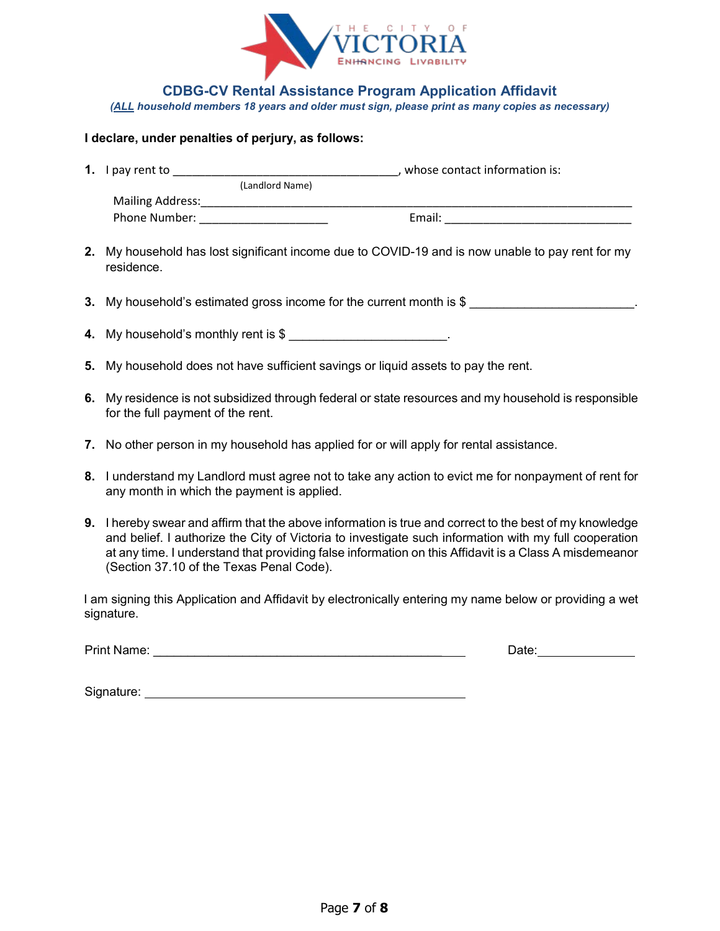

**CDBG-CV Rental Assistance Program Application Affidavit** 

*(ALL household members 18 years and older must sign, please print as many copies as necessary)* 

#### **I declare, under penalties of perjury, as follows:**

| 1. | I pay rent to           |                 | whose contact information is: |
|----|-------------------------|-----------------|-------------------------------|
|    |                         | (Landlord Name) |                               |
|    | <b>Mailing Address:</b> |                 |                               |
|    | Phone Number:           |                 | Email:                        |

- **2.** My household has lost significant income due to COVID-19 and is now unable to pay rent for my residence.
- **3.** My household's estimated gross income for the current month is \$
- **4.** My household's monthly rent is \$ \_\_\_\_\_\_\_\_\_\_\_\_\_\_\_\_\_\_\_\_\_\_\_.
- **5.** My household does not have sufficient savings or liquid assets to pay the rent.
- **6.** My residence is not subsidized through federal or state resources and my household is responsible for the full payment of the rent.
- **7.** No other person in my household has applied for or will apply for rental assistance.
- **8.** I understand my Landlord must agree not to take any action to evict me for nonpayment of rent for any month in which the payment is applied.
- **9.** I hereby swear and affirm that the above information is true and correct to the best of my knowledge and belief. I authorize the City of Victoria to investigate such information with my full cooperation at any time. I understand that providing false information on this Affidavit is a Class A misdemeanor (Section 37.10 of the Texas Penal Code).

I am signing this Application and Affidavit by electronically entering my name below or providing a wet signature.

Print Name: \_\_\_\_\_\_\_\_\_\_\_\_\_\_\_\_\_\_\_\_\_\_\_\_\_\_\_\_\_\_\_\_\_\_\_\_\_\_\_\_\_\_ Date:

Signature: **Signature: Signature: Signature: Signature: Signature: Signature: Signature: Signature: Signature: Signature: Signature: Signature: Signature: Signature: Signature: Signature: Si**